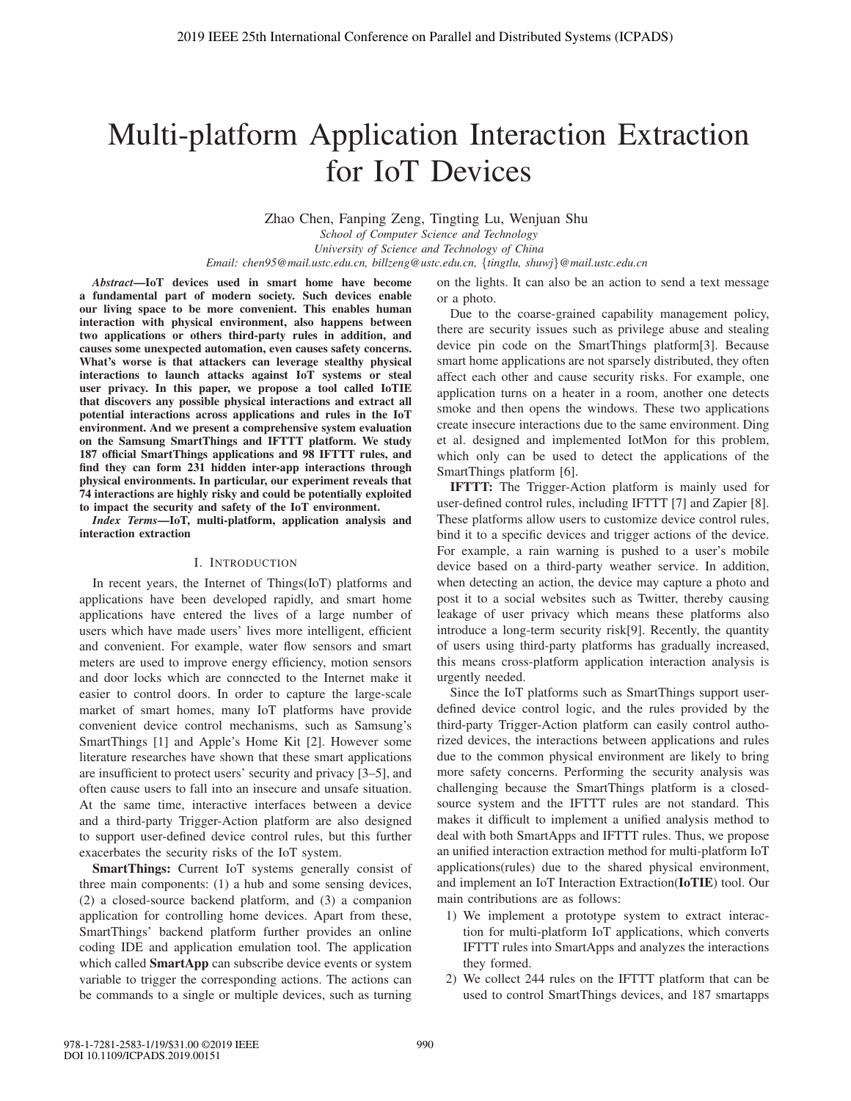# Multi-platform Application Interaction Extraction for IoT Devices

Zhao Chen, Fanping Zeng, Tingting Lu, Wenjuan Shu

*School of Computer Science and Technology*

*University of Science and Technology of China Email: chen95@mail.ustc.edu.cn, billzeng@ustc.edu.cn,* {*tingtlu, shuwj*}*@mail.ustc.edu.cn*

*Abstract*—IoT devices used in smart home have become a fundamental part of modern society. Such devices enable our living space to be more convenient. This enables human interaction with physical environment, also happens between two applications or others third-party rules in addition, and causes some unexpected automation, even causes safety concerns. What's worse is that attackers can leverage stealthy physical interactions to launch attacks against IoT systems or steal user privacy. In this paper, we propose a tool called IoTIE that discovers any possible physical interactions and extract all potential interactions across applications and rules in the IoT environment. And we present a comprehensive system evaluation on the Samsung SmartThings and IFTTT platform. We study 187 official SmartThings applications and 98 IFTTT rules, and find they can form 231 hidden inter-app interactions through physical environments. In particular, our experiment reveals that 74 interactions are highly risky and could be potentially exploited to impact the security and safety of the IoT environment.

*Index Terms*—IoT, multi-platform, application analysis and interaction extraction

#### I. INTRODUCTION

In recent years, the Internet of Things(IoT) platforms and applications have been developed rapidly, and smart home applications have entered the lives of a large number of users which have made users' lives more intelligent, efficient and convenient. For example, water flow sensors and smart meters are used to improve energy efficiency, motion sensors and door locks which are connected to the Internet make it easier to control doors. In order to capture the large-scale market of smart homes, many IoT platforms have provide convenient device control mechanisms, such as Samsung's SmartThings [1] and Apple's Home Kit [2]. However some literature researches have shown that these smart applications are insufficient to protect users' security and privacy [3–5], and often cause users to fall into an insecure and unsafe situation. At the same time, interactive interfaces between a device and a third-party Trigger-Action platform are also designed to support user-defined device control rules, but this further exacerbates the security risks of the IoT system.

SmartThings: Current IoT systems generally consist of three main components: (1) a hub and some sensing devices, (2) a closed-source backend platform, and (3) a companion application for controlling home devices. Apart from these, SmartThings' backend platform further provides an online coding IDE and application emulation tool. The application which called **SmartApp** can subscribe device events or system variable to trigger the corresponding actions. The actions can be commands to a single or multiple devices, such as turning on the lights. It can also be an action to send a text message or a photo.

Due to the coarse-grained capability management policy, there are security issues such as privilege abuse and stealing device pin code on the SmartThings platform[3]. Because smart home applications are not sparsely distributed, they often affect each other and cause security risks. For example, one application turns on a heater in a room, another one detects smoke and then opens the windows. These two applications create insecure interactions due to the same environment. Ding et al. designed and implemented IotMon for this problem, which only can be used to detect the applications of the SmartThings platform [6].

IFTTT: The Trigger-Action platform is mainly used for user-defined control rules, including IFTTT [7] and Zapier [8]. These platforms allow users to customize device control rules, bind it to a specific devices and trigger actions of the device. For example, a rain warning is pushed to a user's mobile device based on a third-party weather service. In addition, when detecting an action, the device may capture a photo and post it to a social websites such as Twitter, thereby causing leakage of user privacy which means these platforms also introduce a long-term security risk[9]. Recently, the quantity of users using third-party platforms has gradually increased, this means cross-platform application interaction analysis is urgently needed.

Since the IoT platforms such as SmartThings support userdefined device control logic, and the rules provided by the third-party Trigger-Action platform can easily control authorized devices, the interactions between applications and rules due to the common physical environment are likely to bring more safety concerns. Performing the security analysis was challenging because the SmartThings platform is a closedsource system and the IFTTT rules are not standard. This makes it difficult to implement a unified analysis method to deal with both SmartApps and IFTTT rules. Thus, we propose an unified interaction extraction method for multi-platform IoT applications(rules) due to the shared physical environment, and implement an IoT Interaction Extraction(IoTIE) tool. Our main contributions are as follows:

- 1) We implement a prototype system to extract interaction for multi-platform IoT applications, which converts IFTTT rules into SmartApps and analyzes the interactions they formed.
- 2) We collect 244 rules on the IFTTT platform that can be used to control SmartThings devices, and 187 smartapps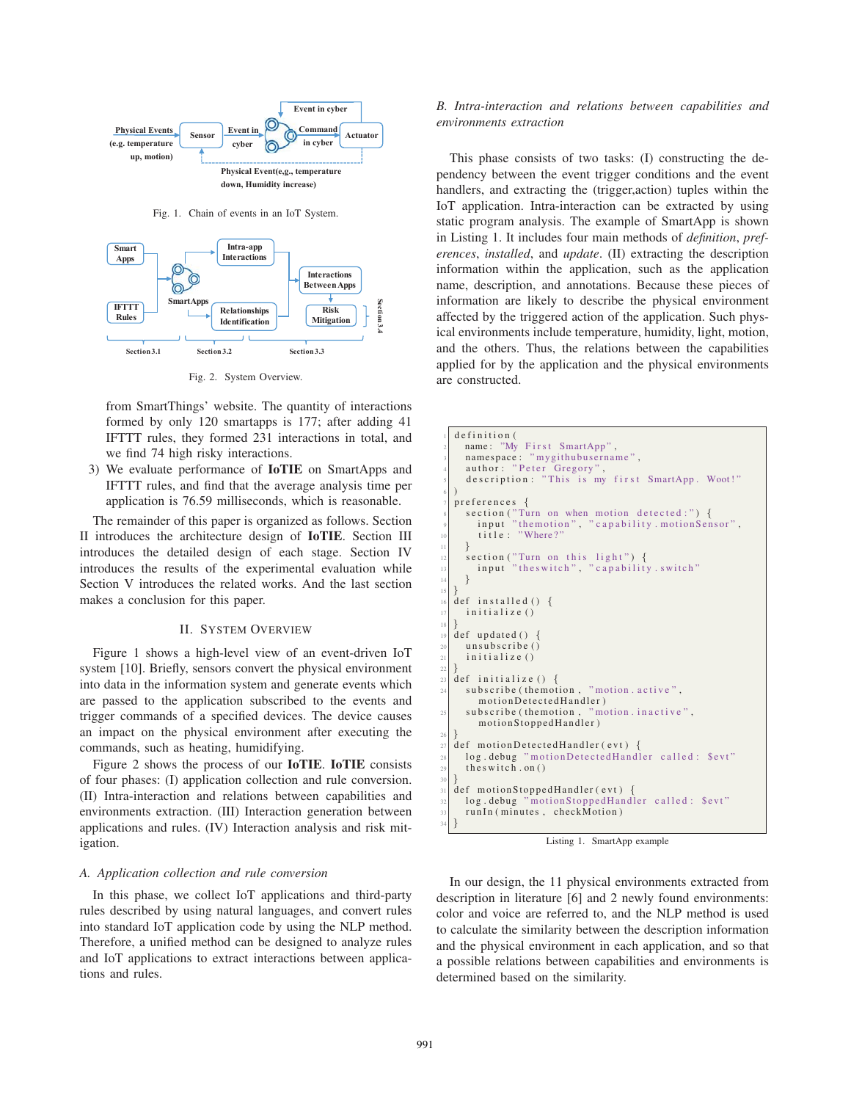

Fig. 1. Chain of events in an IoT System.



Fig. 2. System Overview.

from SmartThings' website. The quantity of interactions formed by only 120 smartapps is 177; after adding 41 IFTTT rules, they formed 231 interactions in total, and we find 74 high risky interactions.

3) We evaluate performance of IoTIE on SmartApps and IFTTT rules, and find that the average analysis time per application is 76.59 milliseconds, which is reasonable.

The remainder of this paper is organized as follows. Section II introduces the architecture design of IoTIE. Section III introduces the detailed design of each stage. Section IV introduces the results of the experimental evaluation while Section V introduces the related works. And the last section makes a conclusion for this paper.

# II. SYSTEM OVERVIEW

Figure 1 shows a high-level view of an event-driven IoT system [10]. Briefly, sensors convert the physical environment into data in the information system and generate events which are passed to the application subscribed to the events and trigger commands of a specified devices. The device causes an impact on the physical environment after executing the commands, such as heating, humidifying.

Figure 2 shows the process of our IoTIE. IoTIE consists of four phases: (I) application collection and rule conversion. (II) Intra-interaction and relations between capabilities and environments extraction. (III) Interaction generation between applications and rules. (IV) Interaction analysis and risk mitigation.

#### *A. Application collection and rule conversion*

In this phase, we collect IoT applications and third-party rules described by using natural languages, and convert rules into standard IoT application code by using the NLP method. Therefore, a unified method can be designed to analyze rules and IoT applications to extract interactions between applications and rules.

# *B. Intra-interaction and relations between capabilities and environments extraction*

This phase consists of two tasks: (I) constructing the dependency between the event trigger conditions and the event handlers, and extracting the (trigger,action) tuples within the IoT application. Intra-interaction can be extracted by using static program analysis. The example of SmartApp is shown in Listing 1. It includes four main methods of *definition*, *preferences*, *installed*, and *update*. (II) extracting the description information within the application, such as the application name, description, and annotations. Because these pieces of information are likely to describe the physical environment affected by the triggered action of the application. Such physical environments include temperature, humidity, light, motion, and the others. Thus, the relations between the capabilities applied for by the application and the physical environments are constructed.

```
definition (
     name: "My First SmartApp",
     namespace: "mygithubusername",
 4 author: "Peter Gregory",<br>5 description: "This is my first SmartApp. Woot!"
 6 )
  7 preferences {
     section("Turn on when motion detected:") {
       input "themotion", "capability . motionSensor",
        title : "Where?
\begin{array}{c} \n 11 \n \end{array}section ("Turn on this light") {
       input "theswitch", " capability . switch"
\vert 14 }
15 }
  def installed ()initialize ()
18 }
  def updated () \{unsubscribe ()
_{21} initialize ()
\frac{22}{23}\det initialize () {
24 subscribe (themotion, "motion. active",
       motionDetectedHandler )
     subscribe (themotion, "motion. inactive",
       motionStoppedHandler )
26 }
27 def motionDetectedHandler (evt) {
28 log . debug "motionDetectedHandler called : $evt"
_{29} theswitch . on ()
30 }
  def motionStoppedHandler (evt) {
32 log . debug "motionStoppedHandler called : $evt"
     runIn ( minutes , checkMotion )
34 }
```
Listing 1. SmartApp example

In our design, the 11 physical environments extracted from description in literature [6] and 2 newly found environments: color and voice are referred to, and the NLP method is used to calculate the similarity between the description information and the physical environment in each application, and so that a possible relations between capabilities and environments is determined based on the similarity.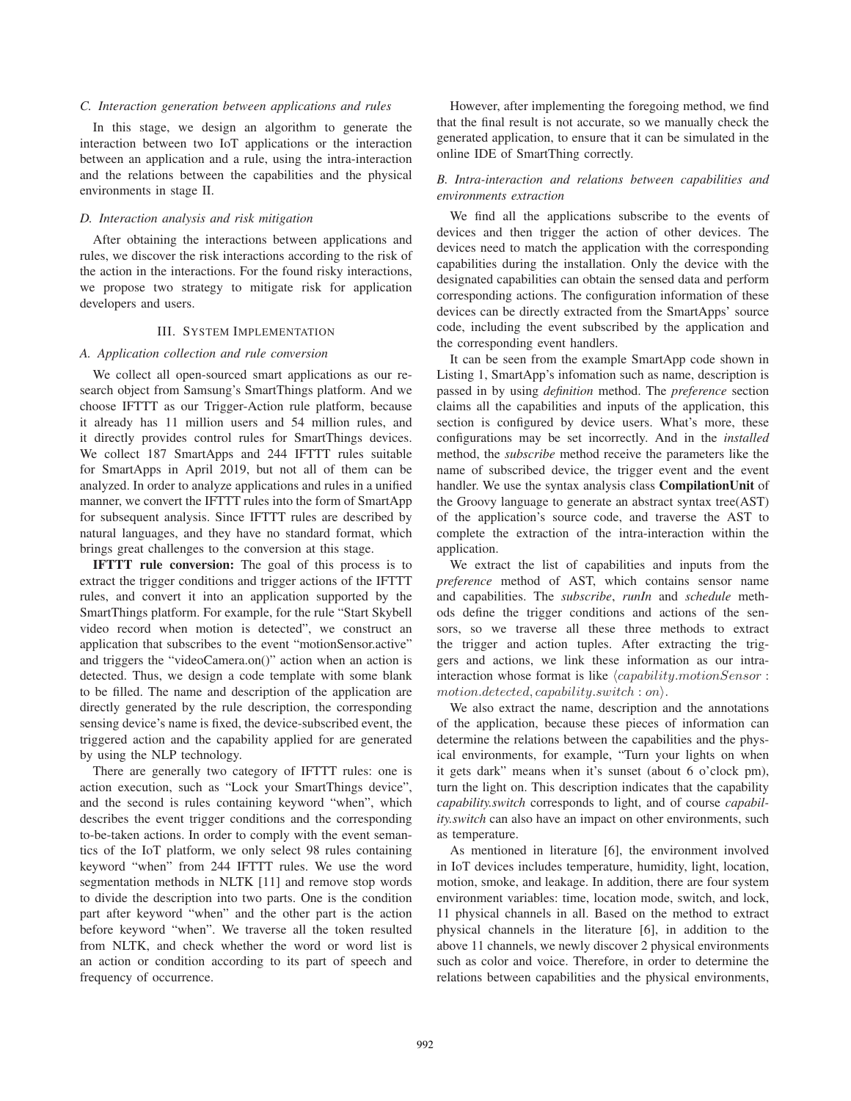## *C. Interaction generation between applications and rules*

In this stage, we design an algorithm to generate the interaction between two IoT applications or the interaction between an application and a rule, using the intra-interaction and the relations between the capabilities and the physical environments in stage II.

#### *D. Interaction analysis and risk mitigation*

After obtaining the interactions between applications and rules, we discover the risk interactions according to the risk of the action in the interactions. For the found risky interactions, we propose two strategy to mitigate risk for application developers and users.

## III. SYSTEM IMPLEMENTATION

# *A. Application collection and rule conversion*

We collect all open-sourced smart applications as our research object from Samsung's SmartThings platform. And we choose IFTTT as our Trigger-Action rule platform, because it already has 11 million users and 54 million rules, and it directly provides control rules for SmartThings devices. We collect 187 SmartApps and 244 IFTTT rules suitable for SmartApps in April 2019, but not all of them can be analyzed. In order to analyze applications and rules in a unified manner, we convert the IFTTT rules into the form of SmartApp for subsequent analysis. Since IFTTT rules are described by natural languages, and they have no standard format, which brings great challenges to the conversion at this stage.

IFTTT rule conversion: The goal of this process is to extract the trigger conditions and trigger actions of the IFTTT rules, and convert it into an application supported by the SmartThings platform. For example, for the rule "Start Skybell video record when motion is detected", we construct an application that subscribes to the event "motionSensor.active" and triggers the "videoCamera.on()" action when an action is detected. Thus, we design a code template with some blank to be filled. The name and description of the application are directly generated by the rule description, the corresponding sensing device's name is fixed, the device-subscribed event, the triggered action and the capability applied for are generated by using the NLP technology.

There are generally two category of IFTTT rules: one is action execution, such as "Lock your SmartThings device", and the second is rules containing keyword "when", which describes the event trigger conditions and the corresponding to-be-taken actions. In order to comply with the event semantics of the IoT platform, we only select 98 rules containing keyword "when" from 244 IFTTT rules. We use the word segmentation methods in NLTK [11] and remove stop words to divide the description into two parts. One is the condition part after keyword "when" and the other part is the action before keyword "when". We traverse all the token resulted from NLTK, and check whether the word or word list is an action or condition according to its part of speech and frequency of occurrence.

However, after implementing the foregoing method, we find that the final result is not accurate, so we manually check the generated application, to ensure that it can be simulated in the online IDE of SmartThing correctly.

# *B. Intra-interaction and relations between capabilities and environments extraction*

We find all the applications subscribe to the events of devices and then trigger the action of other devices. The devices need to match the application with the corresponding capabilities during the installation. Only the device with the designated capabilities can obtain the sensed data and perform corresponding actions. The configuration information of these devices can be directly extracted from the SmartApps' source code, including the event subscribed by the application and the corresponding event handlers.

It can be seen from the example SmartApp code shown in Listing 1, SmartApp's infomation such as name, description is passed in by using *definition* method. The *preference* section claims all the capabilities and inputs of the application, this section is configured by device users. What's more, these configurations may be set incorrectly. And in the *installed* method, the *subscribe* method receive the parameters like the name of subscribed device, the trigger event and the event handler. We use the syntax analysis class CompilationUnit of the Groovy language to generate an abstract syntax tree(AST) of the application's source code, and traverse the AST to complete the extraction of the intra-interaction within the application.

We extract the list of capabilities and inputs from the *preference* method of AST, which contains sensor name and capabilities. The *subscribe*, *runIn* and *schedule* methods define the trigger conditions and actions of the sensors, so we traverse all these three methods to extract the trigger and action tuples. After extracting the triggers and actions, we link these information as our intrainteraction whose format is like  $\langle capability.motionSensor$ :</mark> *motion.detected, capability.switch* : *on.*

We also extract the name, description and the annotations of the application, because these pieces of information can determine the relations between the capabilities and the physical environments, for example, "Turn your lights on when it gets dark" means when it's sunset (about 6 o'clock pm), turn the light on. This description indicates that the capability *capability.switch* corresponds to light, and of course *capability.switch* can also have an impact on other environments, such as temperature.

As mentioned in literature [6], the environment involved in IoT devices includes temperature, humidity, light, location, motion, smoke, and leakage. In addition, there are four system environment variables: time, location mode, switch, and lock, 11 physical channels in all. Based on the method to extract physical channels in the literature [6], in addition to the above 11 channels, we newly discover 2 physical environments such as color and voice. Therefore, in order to determine the relations between capabilities and the physical environments,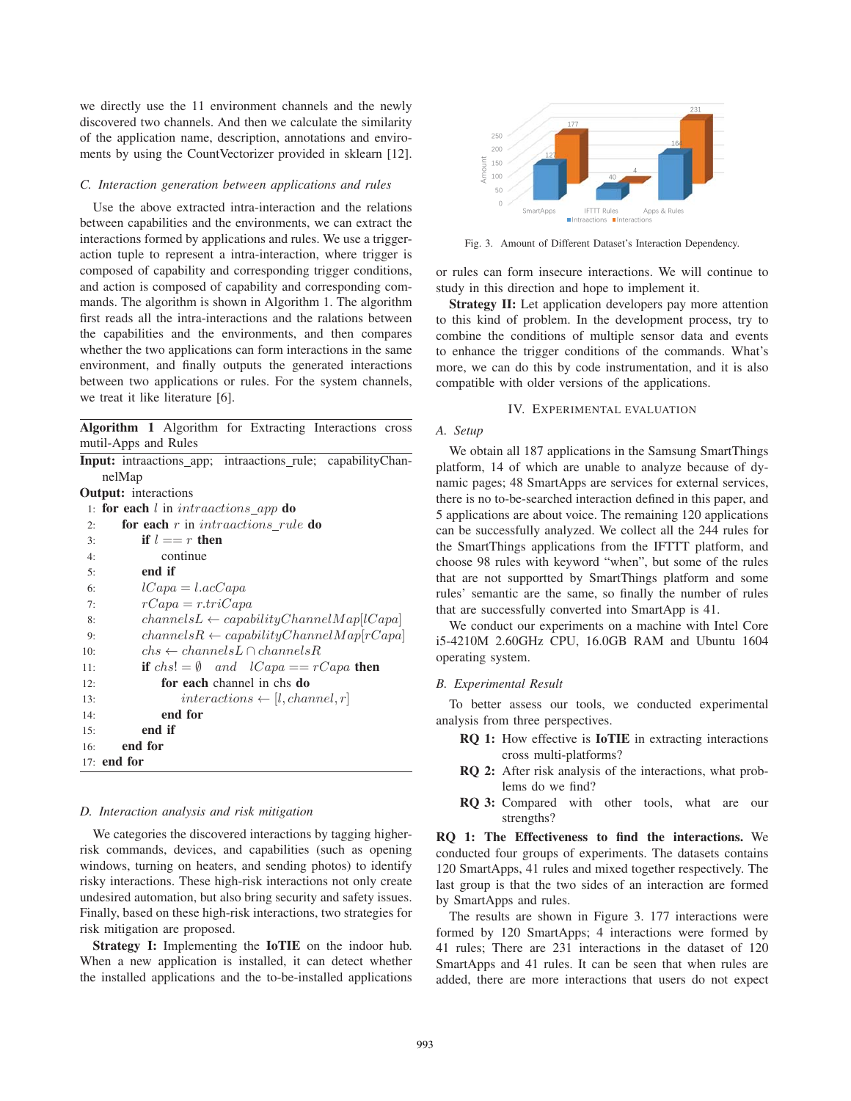we directly use the 11 environment channels and the newly discovered two channels. And then we calculate the similarity of the application name, description, annotations and enviroments by using the CountVectorizer provided in sklearn [12].

# *C. Interaction generation between applications and rules*

Use the above extracted intra-interaction and the relations between capabilities and the environments, we can extract the interactions formed by applications and rules. We use a triggeraction tuple to represent a intra-interaction, where trigger is composed of capability and corresponding trigger conditions, and action is composed of capability and corresponding commands. The algorithm is shown in Algorithm 1. The algorithm first reads all the intra-interactions and the ralations between the capabilities and the environments, and then compares whether the two applications can form interactions in the same environment, and finally outputs the generated interactions between two applications or rules. For the system channels, we treat it like literature [6].

Algorithm 1 Algorithm for Extracting Interactions cross mutil-Apps and Rules

| nelMap<br><b>Output:</b> interactions<br>1: for each $l$ in $intractions\_app$ do<br>for each $r$ in intraactions rule do<br>2:<br>if $l == r$ then<br>3:<br>continue<br>4:<br>end if<br>5:<br>$lCapa = l.acCapa$<br>6:<br>$rCapa = r.triCapa$<br>7:<br>$channelsL \leftarrow capabilityChannelMap lCapa $<br>8:<br>$channels R \leftarrow capabilityChannelMap[rcapa]$<br>9:<br>$chs \leftarrow channelsL \cap channelsR$<br>10:<br><b>if</b> $chs! = \emptyset$ and $lCapa == rCapa$ then<br>11:<br>for each channel in chs do<br>12:<br>interactions $\leftarrow$ [ <i>l</i> , channel, r]<br>13:<br>end for<br>14:<br>end if<br>15:<br>end for<br>16:<br>$17:$ end for |  | Input: intraactions_app; intraactions_rule; capabilityChan- |  |  |  |  |  |
|----------------------------------------------------------------------------------------------------------------------------------------------------------------------------------------------------------------------------------------------------------------------------------------------------------------------------------------------------------------------------------------------------------------------------------------------------------------------------------------------------------------------------------------------------------------------------------------------------------------------------------------------------------------------------|--|-------------------------------------------------------------|--|--|--|--|--|
|                                                                                                                                                                                                                                                                                                                                                                                                                                                                                                                                                                                                                                                                            |  |                                                             |  |  |  |  |  |
|                                                                                                                                                                                                                                                                                                                                                                                                                                                                                                                                                                                                                                                                            |  |                                                             |  |  |  |  |  |
|                                                                                                                                                                                                                                                                                                                                                                                                                                                                                                                                                                                                                                                                            |  |                                                             |  |  |  |  |  |
|                                                                                                                                                                                                                                                                                                                                                                                                                                                                                                                                                                                                                                                                            |  |                                                             |  |  |  |  |  |
|                                                                                                                                                                                                                                                                                                                                                                                                                                                                                                                                                                                                                                                                            |  |                                                             |  |  |  |  |  |
|                                                                                                                                                                                                                                                                                                                                                                                                                                                                                                                                                                                                                                                                            |  |                                                             |  |  |  |  |  |
|                                                                                                                                                                                                                                                                                                                                                                                                                                                                                                                                                                                                                                                                            |  |                                                             |  |  |  |  |  |
|                                                                                                                                                                                                                                                                                                                                                                                                                                                                                                                                                                                                                                                                            |  |                                                             |  |  |  |  |  |
|                                                                                                                                                                                                                                                                                                                                                                                                                                                                                                                                                                                                                                                                            |  |                                                             |  |  |  |  |  |
|                                                                                                                                                                                                                                                                                                                                                                                                                                                                                                                                                                                                                                                                            |  |                                                             |  |  |  |  |  |
|                                                                                                                                                                                                                                                                                                                                                                                                                                                                                                                                                                                                                                                                            |  |                                                             |  |  |  |  |  |
|                                                                                                                                                                                                                                                                                                                                                                                                                                                                                                                                                                                                                                                                            |  |                                                             |  |  |  |  |  |
|                                                                                                                                                                                                                                                                                                                                                                                                                                                                                                                                                                                                                                                                            |  |                                                             |  |  |  |  |  |
|                                                                                                                                                                                                                                                                                                                                                                                                                                                                                                                                                                                                                                                                            |  |                                                             |  |  |  |  |  |
|                                                                                                                                                                                                                                                                                                                                                                                                                                                                                                                                                                                                                                                                            |  |                                                             |  |  |  |  |  |
|                                                                                                                                                                                                                                                                                                                                                                                                                                                                                                                                                                                                                                                                            |  |                                                             |  |  |  |  |  |
|                                                                                                                                                                                                                                                                                                                                                                                                                                                                                                                                                                                                                                                                            |  |                                                             |  |  |  |  |  |
|                                                                                                                                                                                                                                                                                                                                                                                                                                                                                                                                                                                                                                                                            |  |                                                             |  |  |  |  |  |
|                                                                                                                                                                                                                                                                                                                                                                                                                                                                                                                                                                                                                                                                            |  |                                                             |  |  |  |  |  |

# *D. Interaction analysis and risk mitigation*

We categories the discovered interactions by tagging higherrisk commands, devices, and capabilities (such as opening windows, turning on heaters, and sending photos) to identify risky interactions. These high-risk interactions not only create undesired automation, but also bring security and safety issues. Finally, based on these high-risk interactions, two strategies for risk mitigation are proposed.

Strategy I: Implementing the IoTIE on the indoor hub. When a new application is installed, it can detect whether the installed applications and the to-be-installed applications



Fig. 3. Amount of Different Dataset's Interaction Dependency.

or rules can form insecure interactions. We will continue to study in this direction and hope to implement it.

Strategy II: Let application developers pay more attention to this kind of problem. In the development process, try to combine the conditions of multiple sensor data and events to enhance the trigger conditions of the commands. What's more, we can do this by code instrumentation, and it is also compatible with older versions of the applications.

#### IV. EXPERIMENTAL EVALUATION

#### *A. Setup*

We obtain all 187 applications in the Samsung SmartThings platform, 14 of which are unable to analyze because of dynamic pages; 48 SmartApps are services for external services, there is no to-be-searched interaction defined in this paper, and 5 applications are about voice. The remaining 120 applications can be successfully analyzed. We collect all the 244 rules for the SmartThings applications from the IFTTT platform, and choose 98 rules with keyword "when", but some of the rules that are not supportted by SmartThings platform and some rules' semantic are the same, so finally the number of rules that are successfully converted into SmartApp is 41.

We conduct our experiments on a machine with Intel Core i5-4210M 2.60GHz CPU, 16.0GB RAM and Ubuntu 1604 operating system.

#### *B. Experimental Result*

To better assess our tools, we conducted experimental analysis from three perspectives.

- RQ 1: How effective is IoTIE in extracting interactions cross multi-platforms?
- RQ 2: After risk analysis of the interactions, what problems do we find?
- RQ 3: Compared with other tools, what are our strengths?

RQ 1: The Effectiveness to find the interactions. We conducted four groups of experiments. The datasets contains 120 SmartApps, 41 rules and mixed together respectively. The last group is that the two sides of an interaction are formed by SmartApps and rules.

The results are shown in Figure 3. 177 interactions were formed by 120 SmartApps; 4 interactions were formed by 41 rules; There are 231 interactions in the dataset of 120 SmartApps and 41 rules. It can be seen that when rules are added, there are more interactions that users do not expect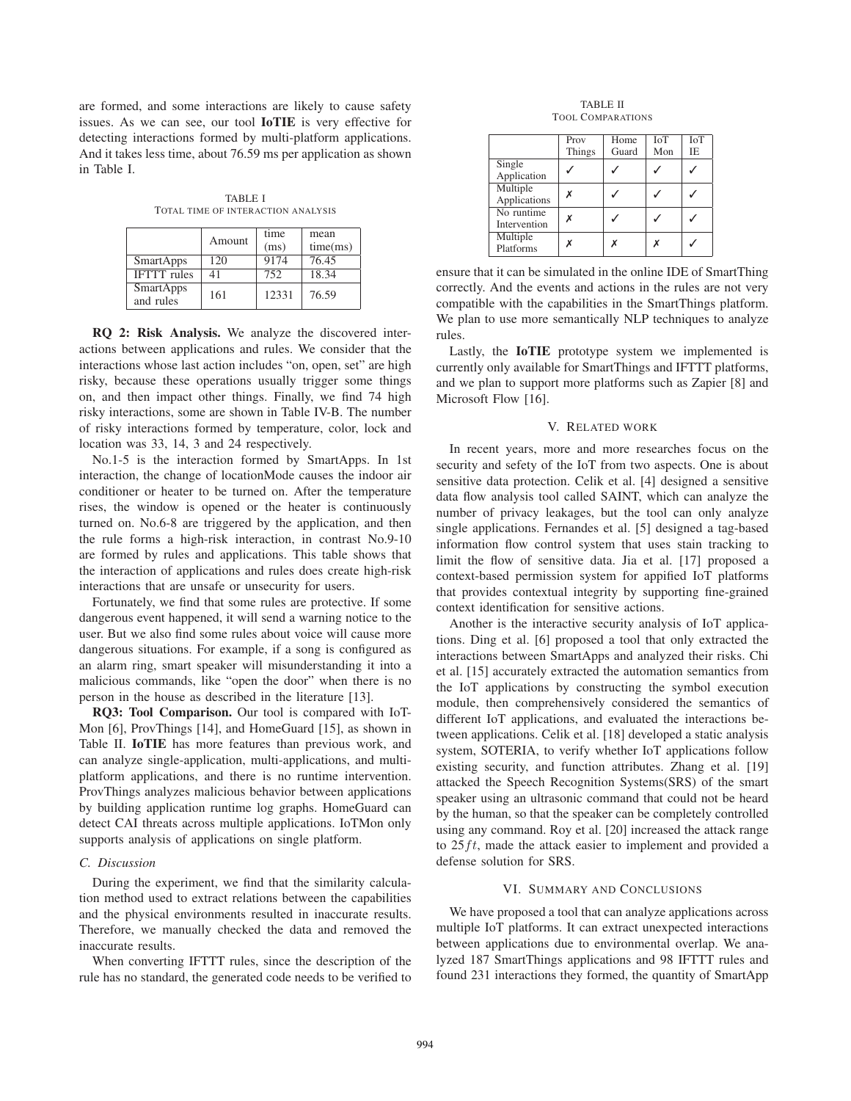are formed, and some interactions are likely to cause safety issues. As we can see, our tool IoTIE is very effective for detecting interactions formed by multi-platform applications. And it takes less time, about 76.59 ms per application as shown in Table I.

TABLE I TOTAL TIME OF INTERACTION ANALYSIS

|                               | Amount | time  | mean     |
|-------------------------------|--------|-------|----------|
|                               |        | (ms)  | time(ms) |
| <b>SmartApps</b>              | 120    | 9174  | 76.45    |
| <b>IFTTT</b> rules            | 41     | 752   | 18.34    |
| <b>SmartApps</b><br>and rules | 161    | 12331 | 76.59    |

RQ 2: Risk Analysis. We analyze the discovered interactions between applications and rules. We consider that the interactions whose last action includes "on, open, set" are high risky, because these operations usually trigger some things on, and then impact other things. Finally, we find 74 high risky interactions, some are shown in Table IV-B. The number of risky interactions formed by temperature, color, lock and location was 33, 14, 3 and 24 respectively.

No.1-5 is the interaction formed by SmartApps. In 1st interaction, the change of locationMode causes the indoor air conditioner or heater to be turned on. After the temperature rises, the window is opened or the heater is continuously turned on. No.6-8 are triggered by the application, and then the rule forms a high-risk interaction, in contrast No.9-10 are formed by rules and applications. This table shows that the interaction of applications and rules does create high-risk interactions that are unsafe or unsecurity for users.

Fortunately, we find that some rules are protective. If some dangerous event happened, it will send a warning notice to the user. But we also find some rules about voice will cause more dangerous situations. For example, if a song is configured as an alarm ring, smart speaker will misunderstanding it into a malicious commands, like "open the door" when there is no person in the house as described in the literature [13].

RQ3: Tool Comparison. Our tool is compared with IoT-Mon [6], ProvThings [14], and HomeGuard [15], as shown in Table II. IoTIE has more features than previous work, and can analyze single-application, multi-applications, and multiplatform applications, and there is no runtime intervention. ProvThings analyzes malicious behavior between applications by building application runtime log graphs. HomeGuard can detect CAI threats across multiple applications. IoTMon only supports analysis of applications on single platform.

## *C. Discussion*

During the experiment, we find that the similarity calculation method used to extract relations between the capabilities and the physical environments resulted in inaccurate results. Therefore, we manually checked the data and removed the inaccurate results.

When converting IFTTT rules, since the description of the rule has no standard, the generated code needs to be verified to

TABLE II TOOL COMPARATIONS

|                            | Prov<br>Things | Home<br>Guard | <b>ToT</b><br>Mon | <b>IoT</b><br>IE |
|----------------------------|----------------|---------------|-------------------|------------------|
| Single<br>Application      |                |               |                   |                  |
| Multiple<br>Applications   |                |               |                   |                  |
| No runtime<br>Intervention | x              |               |                   |                  |
| Multiple<br>Platforms      |                |               |                   |                  |

ensure that it can be simulated in the online IDE of SmartThing correctly. And the events and actions in the rules are not very compatible with the capabilities in the SmartThings platform. We plan to use more semantically NLP techniques to analyze rules.

Lastly, the IoTIE prototype system we implemented is currently only available for SmartThings and IFTTT platforms, and we plan to support more platforms such as Zapier [8] and Microsoft Flow [16].

## V. RELATED WORK

In recent years, more and more researches focus on the security and sefety of the IoT from two aspects. One is about sensitive data protection. Celik et al. [4] designed a sensitive data flow analysis tool called SAINT, which can analyze the number of privacy leakages, but the tool can only analyze single applications. Fernandes et al. [5] designed a tag-based information flow control system that uses stain tracking to limit the flow of sensitive data. Jia et al. [17] proposed a context-based permission system for appified IoT platforms that provides contextual integrity by supporting fine-grained context identification for sensitive actions.

Another is the interactive security analysis of IoT applications. Ding et al. [6] proposed a tool that only extracted the interactions between SmartApps and analyzed their risks. Chi et al. [15] accurately extracted the automation semantics from the IoT applications by constructing the symbol execution module, then comprehensively considered the semantics of different IoT applications, and evaluated the interactions between applications. Celik et al. [18] developed a static analysis system, SOTERIA, to verify whether IoT applications follow existing security, and function attributes. Zhang et al. [19] attacked the Speech Recognition Systems(SRS) of the smart speaker using an ultrasonic command that could not be heard by the human, so that the speaker can be completely controlled using any command. Roy et al. [20] increased the attack range to 25*f t*, made the attack easier to implement and provided a defense solution for SRS.

#### VI. SUMMARY AND CONCLUSIONS

We have proposed a tool that can analyze applications across multiple IoT platforms. It can extract unexpected interactions between applications due to environmental overlap. We analyzed 187 SmartThings applications and 98 IFTTT rules and found 231 interactions they formed, the quantity of SmartApp